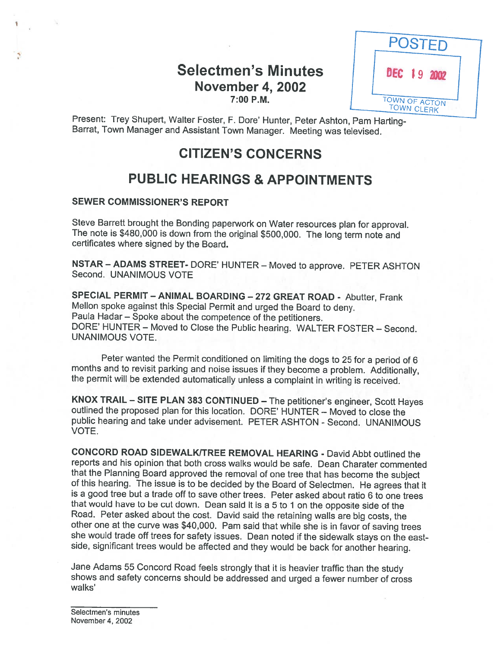Selectmen's Minutes **November 4, 2002** 7:00 P.M.



Present: Trey Shupert, Walter Foster, F. Dore' Hunter, Peter Ashton, Pam Harting-<br>Barrat, Town Manager and Assistant Town Manager. Meeting was televised.

# CITIZEN'S CONCERNS

# PUBLIC HEARINGS & APPOINTMENTS

### SEWER COMMISSIONER'S REPORT

Steve Barrett brought the Bonding paperwork on Water resources <sup>p</sup>lan for approval. The note is \$480,000 is down from the original \$500,000. The long term note and certificates where signed by the Board.

NSTAR — ADAMS STREET- DORE' HUNTER — Moved to approve. PETER ASHTON Second. UNANIMOUS VOTE

SPECIAL PERMIT — ANIMAL BOARDING — <sup>272</sup> GREAT ROAD - Abutter, Frank Mellon spoke against this Special Permit and urged the Board to deny. Paula Hadar — Spoke about the competence of the petitioners. DORE' HUNTER — Moved to Close the Public hearing. WALTER FOSTER — Second. UNANIMOUS VOTE.

Peter wanted the Permit conditioned on limiting the dogs to 25 for a period of 6 months and to revisit parking and noise issues if they become a problem. Additionally, the permit will be extended automatically unless a com

KNOX TRAIL – SITE PLAN 383 CONTINUED – The petitioner's engineer, Scott Hayes outlined the proposed plan for this location. DORE' HUNTER – Moved to close the public hearing and take under advisement. PETER ASHTON - Second. UNANIMOUS VOTE.

CONCORD ROAD SIDEWALKITREE REMOVAL HEARING - David Abbt outlined the reports and his opinion that both cross walks would be safe. Dean Charater commented of this hearing. The issue is to be decided by the Board of Selectmen. He agrees that it is a good tree but a trade off to save other trees. Peter asked about ratio 6 to one trees that would have to be cut down. Dean said it is <sup>a</sup> <sup>5</sup> to <sup>1</sup> on the opposite side of the Road. Peter asked about the cost. David said the retaining walls are big costs, the other one at the curve was \$40,000. Pam said that while she is in favor of saving trees she would trade off trees for safety issues. Dean noted if the sidewalk stays on the east side, significant trees would be affected and they would be back for another hearing.

Jane Adams <sup>55</sup> Concord Road feels strongly that it is heavier traffic than the study shows and safety concerns should be addressed and urged <sup>a</sup> fewer number of cross walks'

Selectmen's minutes November 4, 2002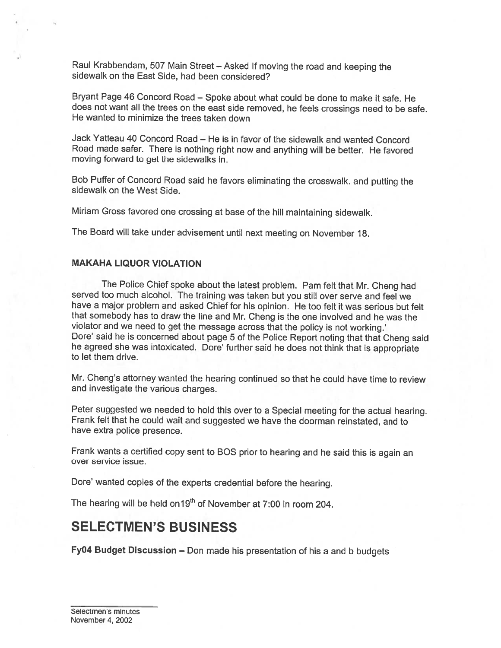Raul Krabbendam, <sup>507</sup> Main Street — Asked If moving the road and keeping the sidewalk on the East Side, had been considered?

Bryant Page <sup>46</sup> Concord Road — Spoke about what could be done to make it safe. He does not want all the trees on the east side removed, he feels crossings need to be safe. He wanted to minimize the trees taken down

Jack Yatteau 40 Concord Road — He is in favor of the sidewalk and wanted Concord Road made safer. There is nothing right now and anything will be better. He favored moving forward to get the sidewalks in.

Bob Puffer of Concord Road said he favors eliminating the crosswalk, and putting the sidewalk on the West Side.

Miriam Gross favored one crossing at base of the hill maintaining sidewalk.

The Board will take under advisement until next meeting on November 18.

#### MAKAHA LIQUOR VIOLATION

The Police Chief spoke about the latest problem. Pam felt that Mr. Cheng had served too much alcohol. The training was taken but you still over serve and feel we have <sup>a</sup> major problem and asked Chief for his opinion. He too felt it was serious but felt that somebody has to draw the line and Mr. Cheng is the one involved and he was the violator and we need to get the message across that the policy is not working.' he agreed she was intoxicated. Dore' further said he does not think that is appropriate to let them drive.

Mr. Cheng's attorney wanted the hearing continued so that he could have time to review and investigate the various charges.

Peter suggested we needed to hold this over to <sup>a</sup> Special meeting for the actual hearing. Frank felt that he could wait and suggested we have the doorman reinstated, and to have extra police presence.

Frank wants <sup>a</sup> certified copy sent to BOS prior to hearing and he said this is again an over service issue.

Dore' wanted copies of the experts credential before the hearing.

The hearing will be held on 19<sup>th</sup> of November at 7:00 in room 204.

## SELECTMEN'S BUSINESS

Fy04 Budget Discussion — Don made his presentation of his <sup>a</sup> and <sup>b</sup> budgets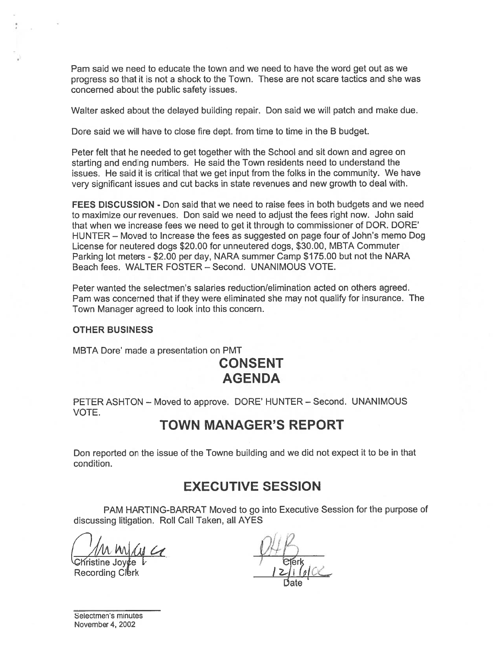Pam said we need to educate the town and we need to have the word ge<sup>t</sup> out as we progress so that it is not <sup>a</sup> shock to the Town. These are not scare tactics and she was concerned about the public safety issues.

Walter asked about the delayed building repair. Don said we will patch and make due.

Dore said we will have to close fire dept. from time to time in the B budget.

Peter felt that he needed to ge<sup>t</sup> together with the School and sit down and agree on starting and ending numbers. He said the Town residents need to understand the issues. He said it is critical that we ge<sup>t</sup> input from the folks in the community. We have very significant issues and cut backs in state revenues and new growth to deal with.

FEES DISCUSSION - Don said that we need to raise fees in both budgets and we need to maximize our revenues. Don said we need to adjust the fees right now. John said that when we increase fees we need to ge<sup>t</sup> it through to commissioner of DOR. DORE' HUNTER — Moved to Increase the fees as suggested on page four of John's memo Dog License for neutered dogs \$20.00 for unneutered dogs, \$30.00, MBTA Commuter Parking lot meters - \$2.00 per day, NARA summer Camp \$175.00 but not the NARA Beach fees. WALTER FOSTER — Second. UNANIMOUS VOTE.

Peter wanted the selectmen's salaries reduction/elimination acted on others agreed. Pam was concerned that if they were eliminated she may not qualify for insurance. The Town Manager agreed to look into this concern.

#### OTHER BUSINESS

MBTA Dore' made <sup>a</sup> presentation on PMT

# CONSENT AGENDA

PETER ASHTON — Moved to approve. DORE' HUNTER — Second. UNANIMOUS VOTE.

## TOWN MANAGER'S REPORT

Don reported on the issue of the Towne building and we did not expec<sup>t</sup> it to be in that condition.

# EXECUTIVE SESSION

PAM HARTING-BARRAT Moved to go into Executive Session for the purpose of discussing litigation. Roll Call Taken, all AYES

 $\frac{1}{1}$  Christine Joyce t

Recording Clerk

Date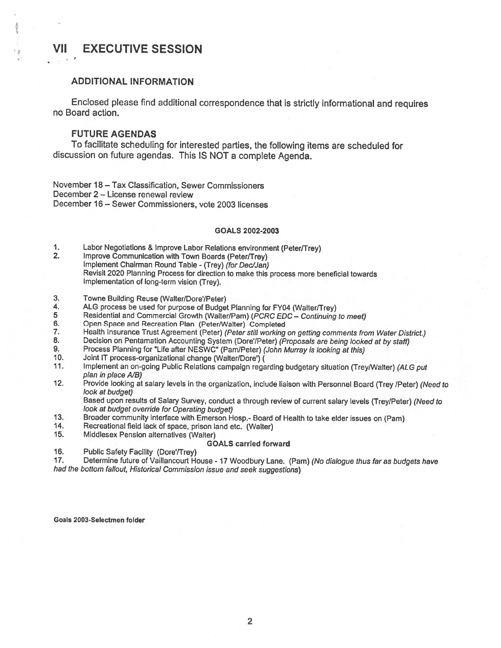### VII EXECUTIVE SESSION

### ADDITIONAL INFORMATION

Enclosed <sup>p</sup>lease find additional correspondence that is strictly informational and requires no Board action.

#### FUTURE AGENDAS

To facilitate scheduling for interested parties, the following items are scheduled for discussion on future agendas. This IS NOT <sup>a</sup> complete Agenda.

November 18 — Tax Classification, Sewer Commissioners December 2 — License renewal review December 16— Sewer Commissioners, vote 2003 licenses

#### GOALS 2002-2003

1. Labor Negotiations & Improve Labor Relations environment (Peter/Trey)<br>2. Improve Communication with Town Boards (Peter/Trey)

- Improve Communication with Town Boards (Peter/Trey) Implement Chairman Round Table - (Trey) (for Dec/Jan) Revisit <sup>2020</sup> Planning Process for direction to make this process more beneficial towards Implementation of long-term vision (Trey).
- 3. Towne Building Reuse (Walter/Dore'/Peter)<br>4. ALG process be used for purpose of Budge
- 4. ALG process be used for purpose of Budget Planning for FY04 (Walter/Trey)<br>5 Residential and Commercial Growth (Walter/Pam) (*PCRC EDC Continuing*
- 5 Residential and Commercial Growth (Walter/Pam) (PCRC EDC Continuing to meet)<br>6. Open Space and Recreation Plan (Peter/Walter) Completed
- 6. Open Space and Recreation Plan (Peter/Walter) Completed<br>7. Health Insurance Trust Agreement (Peter) (Peter still working
- 7. Health Insurance Trust Agreement (Peter) (Peter still working on getting comments from Water District.)<br>8. Decision on Pentamation Accounting System (Dore'/Peter) (Proposals are being looked at by staff)
- 8. Decision on Pentamation Accounting System (Dore'/Peter) (Proposals are being looked at by staff)<br>9. Process Planning for "Life after NESWC" (Pam/Peter) (John Murray is looking at this)
- 9. Process Planning for "Life after NESWC" (Pam/Peter) (John Murray is looking at this)<br>10. Joint IT process-organizational change (Walter/Dore') (
- Joint IT process-organizational change (Walter/Dore') (
- 11. Implement an on-going Public Relations campaign regarding budgetary situation (Trey/Walter) (ALG put plan in place A/B)
- 12. Provide looking at salary levels in the organization, include liaison with Personnel Board (Trey /Peter) (Need to look at budget)

Based upon results of Salary Survey, conduct <sup>a</sup> through review of current salary levels (Trey/Peter) (Need to look at budget override for Operating budget)

- 13. Broader community interface with Emerson Hosp.- Board of Health to take elder issues on (Pam)<br>14. Recreational field lack of space, prison land etc. (Walter)
- Recreational field lack of space, prison land etc. (Walter)
- 15. Middlesex Pension alternatives (Walter)

#### GOALS carried forward

16. Public Safety Facility (Dore/Trey)

17. Determine future of Vaillancourt House - 17 Woodbury Lane. (Pam) (No dialogue thus far as budgets have had the bottom fallout, Historical Commission issue and seek suggestions)

#### Goals 2003-Selectmen folder